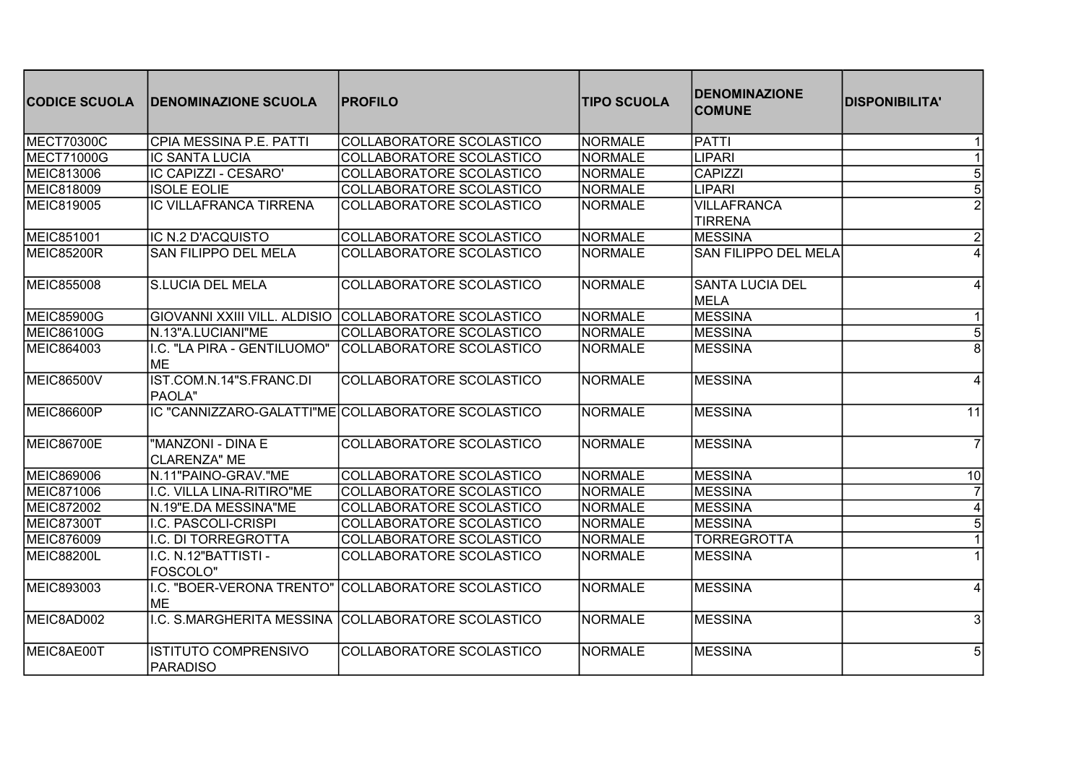| <b>CODICE SCUOLA</b> | <b>IDENOMINAZIONE SCUOLA</b>                   | <b>PROFILO</b>                                        | <b>TIPO SCUOLA</b> | <b>IDENOMINAZIONE</b><br><b>COMUNE</b> | <b>DISPONIBILITA'</b> |
|----------------------|------------------------------------------------|-------------------------------------------------------|--------------------|----------------------------------------|-----------------------|
| <b>MECT70300C</b>    | CPIA MESSINA P.E. PATTI                        | COLLABORATORE SCOLASTICO                              | NORMALE            | <b>PATTI</b>                           |                       |
| <b>MECT71000G</b>    | IC SANTA LUCIA                                 | COLLABORATORE SCOLASTICO                              | NORMALE            | <b>LIPARI</b>                          |                       |
| MEIC813006           | IC CAPIZZI - CESARO'                           | <b>COLLABORATORE SCOLASTICO</b>                       | <b>NORMALE</b>     | <b>CAPIZZI</b>                         | 5                     |
| MEIC818009           | <b>ISOLE EOLIE</b>                             | COLLABORATORE SCOLASTICO                              | NORMALE            | <b>LIPARI</b>                          | 5                     |
| MEIC819005           | <b>IC VILLAFRANCA TIRRENA</b>                  | COLLABORATORE SCOLASTICO                              | <b>NORMALE</b>     | <b>VILLAFRANCA</b><br><b>TIRRENA</b>   |                       |
| MEIC851001           | IC N.2 D'ACQUISTO                              | COLLABORATORE SCOLASTICO                              | NORMALE            | <b>MESSINA</b>                         | $\overline{2}$        |
| <b>MEIC85200R</b>    | <b>SAN FILIPPO DEL MELA</b>                    | COLLABORATORE SCOLASTICO                              | <b>NORMALE</b>     | <b>SAN FILIPPO DEL MELA</b>            |                       |
| <b>MEIC855008</b>    | <b>S.LUCIA DEL MELA</b>                        | COLLABORATORE SCOLASTICO                              | <b>NORMALE</b>     | <b>SANTA LUCIA DEL</b><br>MELA         |                       |
| <b>MEIC85900G</b>    |                                                | GIOVANNI XXIII VILL. ALDISIO COLLABORATORE SCOLASTICO | NORMALE            | <b>MESSINA</b>                         |                       |
| <b>MEIC86100G</b>    | N.13"A.LUCIANI"ME                              | COLLABORATORE SCOLASTICO                              | NORMALE            | <b>MESSINA</b>                         | 5                     |
| MEIC864003           | I.C. "LA PIRA - GENTILUOMO"<br><b>IME</b>      | COLLABORATORE SCOLASTICO                              | <b>NORMALE</b>     | <b>MESSINA</b>                         | 8                     |
| <b>MEIC86500V</b>    | IST.COM.N.14"S.FRANC.DI<br>PAOLA"              | COLLABORATORE SCOLASTICO                              | <b>NORMALE</b>     | <b>MESSINA</b>                         | 4                     |
| <b>MEIC86600P</b>    |                                                | IC "CANNIZZARO-GALATTI"ME COLLABORATORE SCOLASTICO    | <b>NORMALE</b>     | <b>MESSINA</b>                         | $\overline{11}$       |
| <b>MEIC86700E</b>    | "MANZONI - DINA E<br><b>CLARENZA" ME</b>       | COLLABORATORE SCOLASTICO                              | NORMALE            | <b>MESSINA</b>                         | $\overline{7}$        |
| MEIC869006           | N.11"PAINO-GRAV."ME                            | COLLABORATORE SCOLASTICO                              | NORMALE            | <b>MESSINA</b>                         | 10                    |
| MEIC871006           | I.C. VILLA LINA-RITIRO"ME                      | COLLABORATORE SCOLASTICO                              | NORMALE            | <b>MESSINA</b>                         |                       |
| MEIC872002           | N.19"E.DA MESSINA"ME                           | COLLABORATORE SCOLASTICO                              | <b>NORMALE</b>     | <b>MESSINA</b>                         | 4                     |
| <b>MEIC87300T</b>    | I.C. PASCOLI-CRISPI                            | COLLABORATORE SCOLASTICO                              | NORMALE            | <b>MESSINA</b>                         | 5                     |
| MEIC876009           | I.C. DI TORREGROTTA                            | COLLABORATORE SCOLASTICO                              | NORMALE            | <b>TORREGROTTA</b>                     |                       |
| MEIC88200L           | I.C. N.12"BATTISTI -<br><b>FOSCOLO"</b>        | COLLABORATORE SCOLASTICO                              | <b>NORMALE</b>     | <b>MESSINA</b>                         |                       |
| MEIC893003           | I.C. "BOER-VERONA TRENTO"<br><b>ME</b>         | COLLABORATORE SCOLASTICO                              | NORMALE            | <b>MESSINA</b>                         |                       |
| MEIC8AD002           |                                                | I.C. S.MARGHERITA MESSINA COLLABORATORE SCOLASTICO    | NORMALE            | <b>MESSINA</b>                         | 3                     |
| MEIC8AE00T           | <b>ISTITUTO COMPRENSIVO</b><br><b>PARADISO</b> | COLLABORATORE SCOLASTICO                              | NORMALE            | <b>MESSINA</b>                         | 5                     |